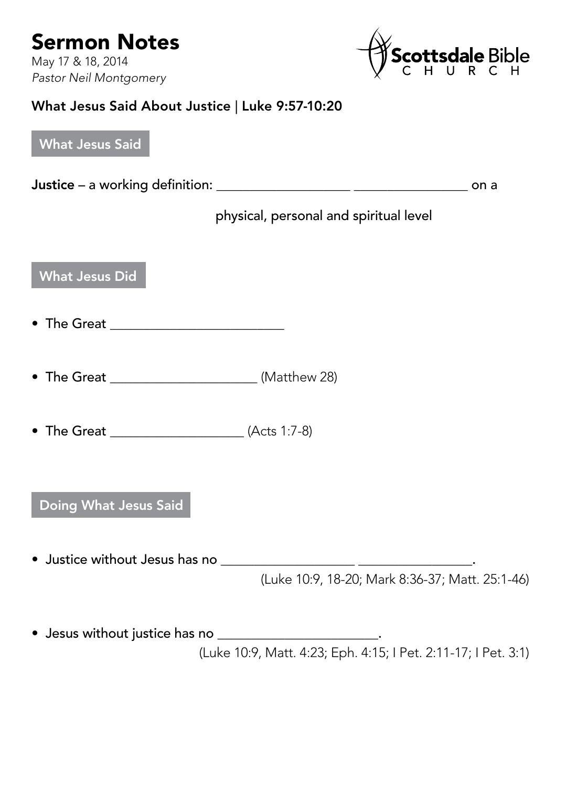

## What Jesus Said About Justice | Luke 9:57-10:20

| <b>What Jesus Said</b>                                                                                                    |  |
|---------------------------------------------------------------------------------------------------------------------------|--|
|                                                                                                                           |  |
| physical, personal and spiritual level                                                                                    |  |
| <b>What Jesus Did</b>                                                                                                     |  |
|                                                                                                                           |  |
|                                                                                                                           |  |
|                                                                                                                           |  |
| Doing What Jesus Said                                                                                                     |  |
| (Luke 10:9, 18-20; Mark 8:36-37; Matt. 25:1-46)                                                                           |  |
| • Jesus without justice has no _______________________.<br>(Luke 10:9, Matt. 4:23; Eph. 4:15; I Pet. 2:11-17; I Pet. 3:1) |  |
|                                                                                                                           |  |